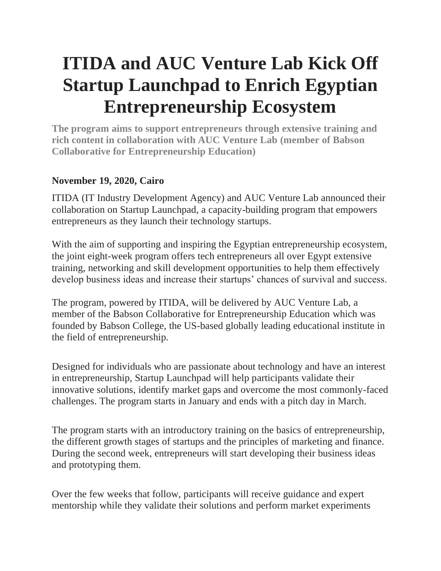# **ITIDA and AUC Venture Lab Kick Off Startup Launchpad to Enrich Egyptian Entrepreneurship Ecosystem**

**The program aims to support entrepreneurs through extensive training and rich content in collaboration with AUC Venture Lab (member of Babson Collaborative for Entrepreneurship Education)**

## **November 19, 2020, Cairo**

ITIDA (IT Industry Development Agency) and AUC Venture Lab announced their collaboration on Startup Launchpad, a capacity-building program that empowers entrepreneurs as they launch their technology startups.

With the aim of supporting and inspiring the Egyptian entrepreneurship ecosystem, the joint eight-week program offers tech entrepreneurs all over Egypt extensive training, networking and skill development opportunities to help them effectively develop business ideas and increase their startups' chances of survival and success.

The program, powered by ITIDA, will be delivered by AUC Venture Lab, a member of the Babson Collaborative for Entrepreneurship Education which was founded by Babson College, the US-based globally leading educational institute in the field of entrepreneurship.

Designed for individuals who are passionate about technology and have an interest in entrepreneurship, Startup Launchpad will help participants validate their innovative solutions, identify market gaps and overcome the most commonly-faced challenges. The program starts in January and ends with a pitch day in March.

The program starts with an introductory training on the basics of entrepreneurship, the different growth stages of startups and the principles of marketing and finance. During the second week, entrepreneurs will start developing their business ideas and prototyping them.

Over the few weeks that follow, participants will receive guidance and expert mentorship while they validate their solutions and perform market experiments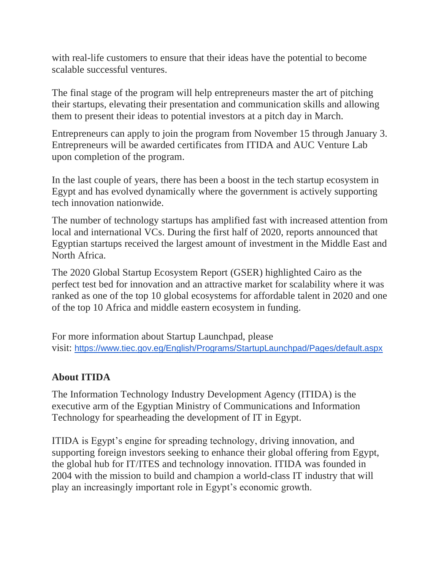with real-life customers to ensure that their ideas have the potential to become scalable successful ventures.

The final stage of the program will help entrepreneurs master the art of pitching their startups, elevating their presentation and communication skills and allowing them to present their ideas to potential investors at a pitch day in March.

Entrepreneurs can apply to join the program from November 15 through January 3. Entrepreneurs will be awarded certificates from ITIDA and AUC Venture Lab upon completion of the program.

In the last couple of years, there has been a boost in the tech startup ecosystem in Egypt and has evolved dynamically where the government is actively supporting tech innovation nationwide.

The number of technology startups has amplified fast with increased attention from local and international VCs. During the first half of 2020, reports announced that Egyptian startups received the largest amount of investment in the Middle East and North Africa.

The 2020 Global Startup Ecosystem Report (GSER) highlighted Cairo as the perfect test bed for innovation and an attractive market for scalability where it was ranked as one of the top 10 global ecosystems for affordable talent in 2020 and one of the top 10 Africa and middle eastern ecosystem in funding.

For more information about Startup Launchpad, please visit: <https://www.tiec.gov.eg/English/Programs/StartupLaunchpad/Pages/default.aspx>

### **About ITIDA**

The Information Technology Industry Development Agency (ITIDA) is the executive arm of the Egyptian Ministry of Communications and Information Technology for spearheading the development of IT in Egypt.

ITIDA is Egypt's engine for spreading technology, driving innovation, and supporting foreign investors seeking to enhance their global offering from Egypt, the global hub for IT/ITES and technology innovation. ITIDA was founded in 2004 with the mission to build and champion a world-class IT industry that will play an increasingly important role in Egypt's economic growth.